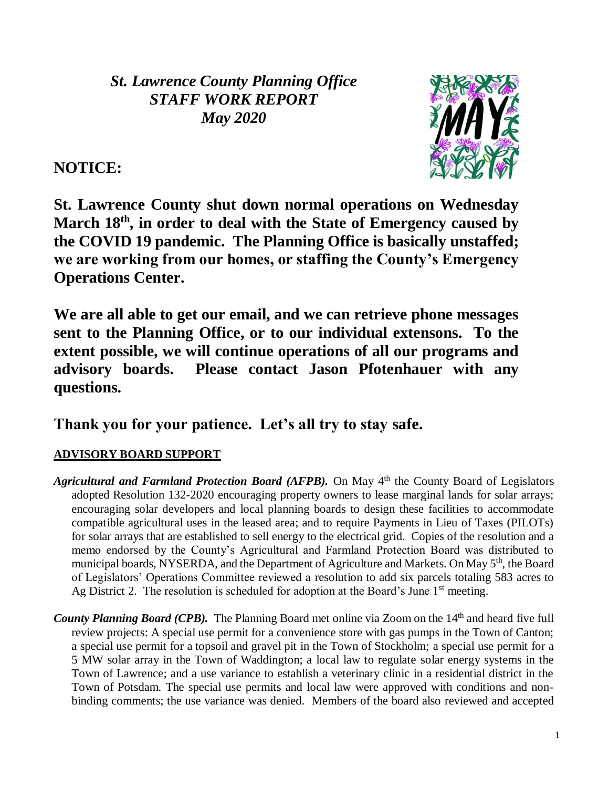*St. Lawrence County Planning Office STAFF WORK REPORT May 2020*

**NOTICE:** 



**St. Lawrence County shut down normal operations on Wednesday March 18th, in order to deal with the State of Emergency caused by the COVID 19 pandemic. The Planning Office is basically unstaffed; we are working from our homes, or staffing the County's Emergency Operations Center.** 

**We are all able to get our email, and we can retrieve phone messages sent to the Planning Office, or to our individual extensons. To the extent possible, we will continue operations of all our programs and advisory boards. Please contact Jason Pfotenhauer with any questions.**

# **Thank you for your patience. Let's all try to stay safe.**

# **ADVISORY BOARD SUPPORT**

- Agricultural and Farmland Protection Board (AFPB). On May 4<sup>th</sup> the County Board of Legislators adopted Resolution 132-2020 encouraging property owners to lease marginal lands for solar arrays; encouraging solar developers and local planning boards to design these facilities to accommodate compatible agricultural uses in the leased area; and to require Payments in Lieu of Taxes (PILOTs) for solar arrays that are established to sell energy to the electrical grid. Copies of the resolution and a memo endorsed by the County's Agricultural and Farmland Protection Board was distributed to municipal boards, NYSERDA, and the Department of Agriculture and Markets. On May 5<sup>th</sup>, the Board of Legislators' Operations Committee reviewed a resolution to add six parcels totaling 583 acres to Ag District 2. The resolution is scheduled for adoption at the Board's June  $1<sup>st</sup>$  meeting.
- *County Planning Board (CPB).* The Planning Board met online via Zoom on the 14<sup>th</sup> and heard five full review projects: A special use permit for a convenience store with gas pumps in the Town of Canton; a special use permit for a topsoil and gravel pit in the Town of Stockholm; a special use permit for a 5 MW solar array in the Town of Waddington; a local law to regulate solar energy systems in the Town of Lawrence; and a use variance to establish a veterinary clinic in a residential district in the Town of Potsdam. The special use permits and local law were approved with conditions and nonbinding comments; the use variance was denied. Members of the board also reviewed and accepted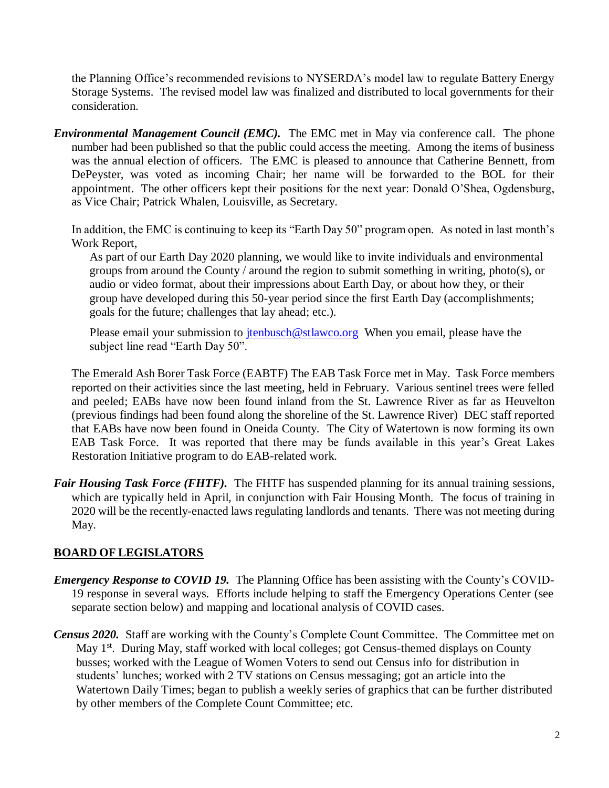the Planning Office's recommended revisions to NYSERDA's model law to regulate Battery Energy Storage Systems. The revised model law was finalized and distributed to local governments for their consideration.

*Environmental Management Council (EMC).* The EMC met in May via conference call. The phone number had been published so that the public could access the meeting. Among the items of business was the annual election of officers. The EMC is pleased to announce that Catherine Bennett, from DePeyster, was voted as incoming Chair; her name will be forwarded to the BOL for their appointment. The other officers kept their positions for the next year: Donald O'Shea, Ogdensburg, as Vice Chair; Patrick Whalen, Louisville, as Secretary.

In addition, the EMC is continuing to keep its "Earth Day 50" program open. As noted in last month's Work Report,

As part of our Earth Day 2020 planning, we would like to invite individuals and environmental groups from around the County / around the region to submit something in writing, photo(s), or audio or video format, about their impressions about Earth Day, or about how they, or their group have developed during this 50-year period since the first Earth Day (accomplishments; goals for the future; challenges that lay ahead; etc.).

Please email your submission to  $\frac{\text{tenbusch}\omega}{\text{stlawco.org}}$  When you email, please have the subject line read "Earth Day 50".

The Emerald Ash Borer Task Force (EABTF) The EAB Task Force met in May. Task Force members reported on their activities since the last meeting, held in February. Various sentinel trees were felled and peeled; EABs have now been found inland from the St. Lawrence River as far as Heuvelton (previous findings had been found along the shoreline of the St. Lawrence River) DEC staff reported that EABs have now been found in Oneida County. The City of Watertown is now forming its own EAB Task Force. It was reported that there may be funds available in this year's Great Lakes Restoration Initiative program to do EAB-related work.

*Fair Housing Task Force (FHTF)*. The FHTF has suspended planning for its annual training sessions, which are typically held in April, in conjunction with Fair Housing Month. The focus of training in 2020 will be the recently-enacted laws regulating landlords and tenants. There was not meeting during May.

# **BOARD OF LEGISLATORS**

- *Emergency Response to COVID 19.* The Planning Office has been assisting with the County's COVID-19 response in several ways. Efforts include helping to staff the Emergency Operations Center (see separate section below) and mapping and locational analysis of COVID cases.
- *Census 2020.* Staff are working with the County's Complete Count Committee. The Committee met on May 1<sup>st</sup>. During May, staff worked with local colleges; got Census-themed displays on County busses; worked with the League of Women Voters to send out Census info for distribution in students' lunches; worked with 2 TV stations on Census messaging; got an article into the Watertown Daily Times; began to publish a weekly series of graphics that can be further distributed by other members of the Complete Count Committee; etc.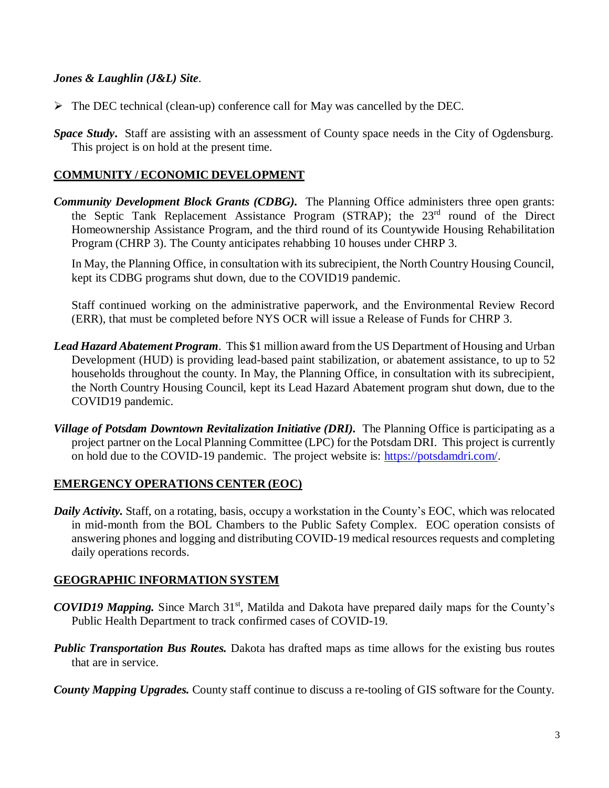### *Jones & Laughlin (J&L) Site*.

- $\triangleright$  The DEC technical (clean-up) conference call for May was cancelled by the DEC.
- *Space Study***.** Staff are assisting with an assessment of County space needs in the City of Ogdensburg. This project is on hold at the present time.

# **COMMUNITY / ECONOMIC DEVELOPMENT**

*Community Development Block Grants (CDBG).* The Planning Office administers three open grants: the Septic Tank Replacement Assistance Program (STRAP); the 23rd round of the Direct Homeownership Assistance Program, and the third round of its Countywide Housing Rehabilitation Program (CHRP 3). The County anticipates rehabbing 10 houses under CHRP 3.

In May, the Planning Office, in consultation with its subrecipient, the North Country Housing Council, kept its CDBG programs shut down, due to the COVID19 pandemic.

Staff continued working on the administrative paperwork, and the Environmental Review Record (ERR), that must be completed before NYS OCR will issue a Release of Funds for CHRP 3.

- *Lead Hazard Abatement Program*. This \$1 million award from the US Department of Housing and Urban Development (HUD) is providing lead-based paint stabilization, or abatement assistance, to up to 52 households throughout the county. In May, the Planning Office, in consultation with its subrecipient, the North Country Housing Council, kept its Lead Hazard Abatement program shut down, due to the COVID19 pandemic.
- *Village of Potsdam Downtown Revitalization Initiative (DRI).* The Planning Office is participating as a project partner on the Local Planning Committee (LPC) for the Potsdam DRI. This project is currently on hold due to the COVID-19 pandemic. The project website is: [https://potsdamdri.com/.](https://potsdamdri.com/)

#### **EMERGENCY OPERATIONS CENTER (EOC)**

*Daily Activity.* Staff, on a rotating, basis, occupy a workstation in the County's EOC, which was relocated in mid-month from the BOL Chambers to the Public Safety Complex. EOC operation consists of answering phones and logging and distributing COVID-19 medical resources requests and completing daily operations records.

#### **GEOGRAPHIC INFORMATION SYSTEM**

- *COVID19 Mapping.* Since March 31<sup>st</sup>, Matilda and Dakota have prepared daily maps for the County's Public Health Department to track confirmed cases of COVID-19.
- *Public Transportation Bus Routes.* Dakota has drafted maps as time allows for the existing bus routes that are in service.
- *County Mapping Upgrades.* County staff continue to discuss a re-tooling of GIS software for the County.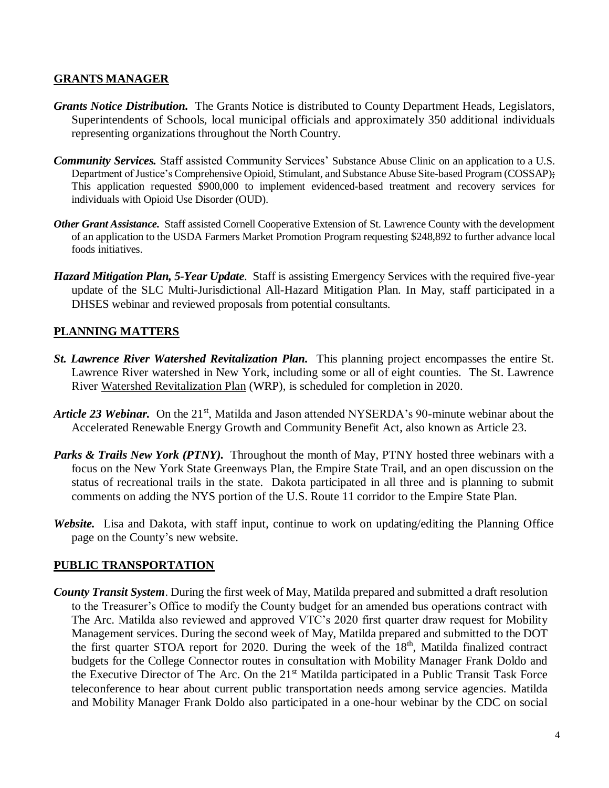# **GRANTS MANAGER**

- *Grants Notice Distribution.* The Grants Notice is distributed to County Department Heads, Legislators, Superintendents of Schools, local municipal officials and approximately 350 additional individuals representing organizations throughout the North Country.
- **Community Services.** Staff assisted Community Services' Substance Abuse Clinic on an application to a U.S. Department of Justice's Comprehensive Opioid, Stimulant, and Substance Abuse Site-based Program (COSSAP); This application requested \$900,000 to implement evidenced-based treatment and recovery services for individuals with Opioid Use Disorder (OUD).
- *Other Grant Assistance.* Staff assisted Cornell Cooperative Extension of St. Lawrence County with the development of an application to the USDA Farmers Market Promotion Program requesting \$248,892 to further advance local foods initiatives.
- *Hazard Mitigation Plan, 5-Year Update*. Staff is assisting Emergency Services with the required five-year update of the SLC Multi-Jurisdictional All-Hazard Mitigation Plan. In May, staff participated in a DHSES webinar and reviewed proposals from potential consultants.

# **PLANNING MATTERS**

- *St. Lawrence River Watershed Revitalization Plan.* This planning project encompasses the entire St. Lawrence River watershed in New York, including some or all of eight counties. The St. Lawrence River Watershed Revitalization Plan (WRP), is scheduled for completion in 2020.
- *Article 23 Webinar.* On the 21<sup>st</sup>, Matilda and Jason attended NYSERDA's 90-minute webinar about the Accelerated Renewable Energy Growth and Community Benefit Act, also known as Article 23.
- *Parks & Trails New York (PTNY).* Throughout the month of May, PTNY hosted three webinars with a focus on the New York State Greenways Plan, the Empire State Trail, and an open discussion on the status of recreational trails in the state. Dakota participated in all three and is planning to submit comments on adding the NYS portion of the U.S. Route 11 corridor to the Empire State Plan.
- *Website.* Lisa and Dakota, with staff input, continue to work on updating/editing the Planning Office page on the County's new website.

# **PUBLIC TRANSPORTATION**

*County Transit System*. During the first week of May, Matilda prepared and submitted a draft resolution to the Treasurer's Office to modify the County budget for an amended bus operations contract with The Arc. Matilda also reviewed and approved VTC's 2020 first quarter draw request for Mobility Management services. During the second week of May, Matilda prepared and submitted to the DOT the first quarter STOA report for 2020. During the week of the 18<sup>th</sup>, Matilda finalized contract budgets for the College Connector routes in consultation with Mobility Manager Frank Doldo and the Executive Director of The Arc. On the 21<sup>st</sup> Matilda participated in a Public Transit Task Force teleconference to hear about current public transportation needs among service agencies. Matilda and Mobility Manager Frank Doldo also participated in a one-hour webinar by the CDC on social